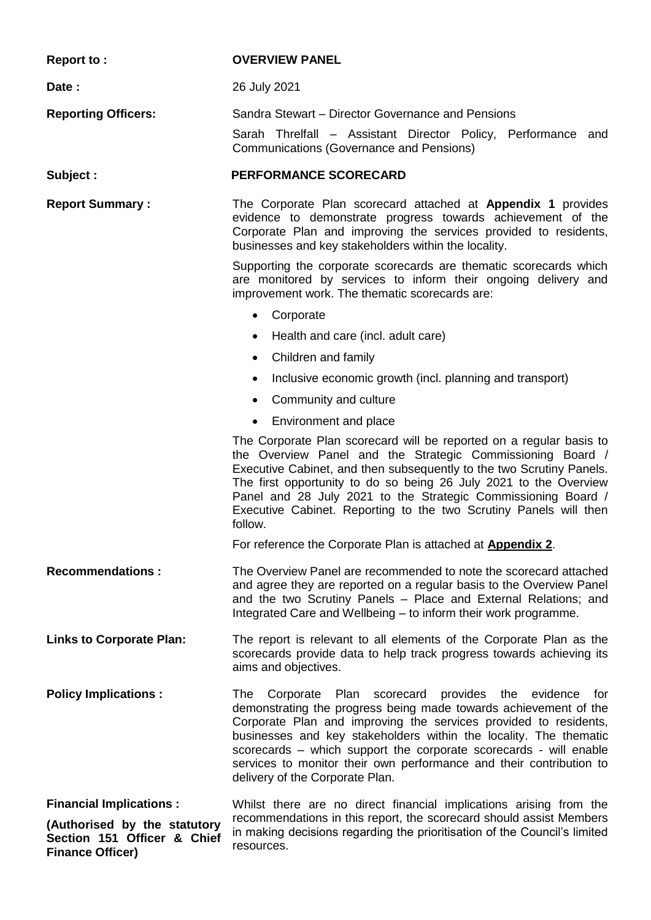**Report to : OVERVIEW PANEL Date :** 26 July 2021 **Reporting Officers:** Sandra Stewart – Director Governance and Pensions Sarah Threlfall – Assistant Director Policy, Performance and Communications (Governance and Pensions) **Subject : PERFORMANCE SCORECARD Report Summary :** The Corporate Plan scorecard attached at **Appendix 1** provides evidence to demonstrate progress towards achievement of the Corporate Plan and improving the services provided to residents, businesses and key stakeholders within the locality. Supporting the corporate scorecards are thematic scorecards which are monitored by services to inform their ongoing delivery and improvement work. The thematic scorecards are: **Corporate** • Health and care (incl. adult care) Children and family • Inclusive economic growth (incl. planning and transport) Community and culture • Environment and place The Corporate Plan scorecard will be reported on a regular basis to the Overview Panel and the Strategic Commissioning Board / Executive Cabinet, and then subsequently to the two Scrutiny Panels. The first opportunity to do so being 26 July 2021 to the Overview Panel and 28 July 2021 to the Strategic Commissioning Board / Executive Cabinet. Reporting to the two Scrutiny Panels will then follow. For reference the Corporate Plan is attached at **Appendix 2**. **Recommendations :** The Overview Panel are recommended to note the scorecard attached and agree they are reported on a regular basis to the Overview Panel and the two Scrutiny Panels – Place and External Relations; and Integrated Care and Wellbeing – to inform their work programme. **Links to Corporate Plan:** The report is relevant to all elements of the Corporate Plan as the scorecards provide data to help track progress towards achieving its aims and objectives. **Policy Implications :** The Corporate Plan scorecard provides the evidence for demonstrating the progress being made towards achievement of the Corporate Plan and improving the services provided to residents, businesses and key stakeholders within the locality. The thematic scorecards – which support the corporate scorecards - will enable services to monitor their own performance and their contribution to delivery of the Corporate Plan. **Financial Implications : (Authorised by the statutory Section 151 Officer & Chief Finance Officer)** Whilst there are no direct financial implications arising from the recommendations in this report, the scorecard should assist Members in making decisions regarding the prioritisation of the Council's limited resources.